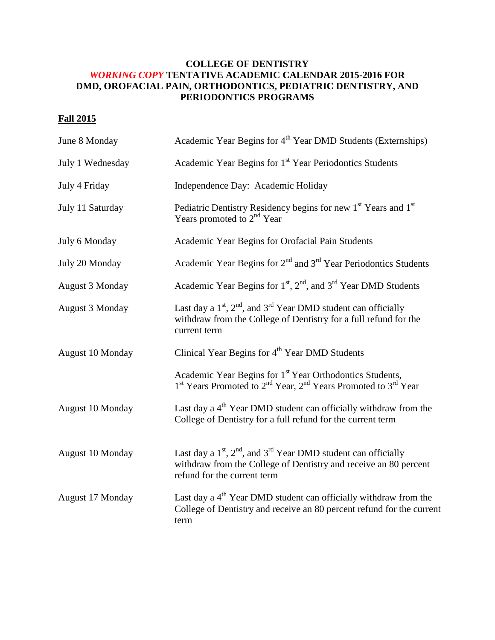## **COLLEGE OF DENTISTRY** *WORKING COPY* **TENTATIVE ACADEMIC CALENDAR 2015-2016 FOR DMD, OROFACIAL PAIN, ORTHODONTICS, PEDIATRIC DENTISTRY, AND PERIODONTICS PROGRAMS**

## **Fall 2015**

| June 8 Monday          | Academic Year Begins for 4 <sup>th</sup> Year DMD Students (Externships)                                                                                                               |
|------------------------|----------------------------------------------------------------------------------------------------------------------------------------------------------------------------------------|
| July 1 Wednesday       | Academic Year Begins for 1 <sup>st</sup> Year Periodontics Students                                                                                                                    |
| July 4 Friday          | Independence Day: Academic Holiday                                                                                                                                                     |
| July 11 Saturday       | Pediatric Dentistry Residency begins for new 1 <sup>st</sup> Years and 1 <sup>st</sup><br>Years promoted to $2nd$ Year                                                                 |
| July 6 Monday          | Academic Year Begins for Orofacial Pain Students                                                                                                                                       |
| July 20 Monday         | Academic Year Begins for $2nd$ and $3rd$ Year Periodontics Students                                                                                                                    |
| <b>August 3 Monday</b> | Academic Year Begins for 1 <sup>st</sup> , 2 <sup>nd</sup> , and 3 <sup>rd</sup> Year DMD Students                                                                                     |
| <b>August 3 Monday</b> | Last day a $1st$ , $2nd$ , and $3rd$ Year DMD student can officially<br>withdraw from the College of Dentistry for a full refund for the<br>current term                               |
| August 10 Monday       | Clinical Year Begins for 4 <sup>th</sup> Year DMD Students                                                                                                                             |
|                        | Academic Year Begins for 1 <sup>st</sup> Year Orthodontics Students,<br>1 <sup>st</sup> Years Promoted to 2 <sup>nd</sup> Year, 2 <sup>nd</sup> Years Promoted to 3 <sup>rd</sup> Year |
| August 10 Monday       | Last day a 4 <sup>th</sup> Year DMD student can officially withdraw from the<br>College of Dentistry for a full refund for the current term                                            |
| August 10 Monday       | Last day a $1st$ , $2nd$ , and $3rd$ Year DMD student can officially<br>withdraw from the College of Dentistry and receive an 80 percent<br>refund for the current term                |
| August 17 Monday       | Last day a $4th$ Year DMD student can officially withdraw from the<br>College of Dentistry and receive an 80 percent refund for the current<br>term                                    |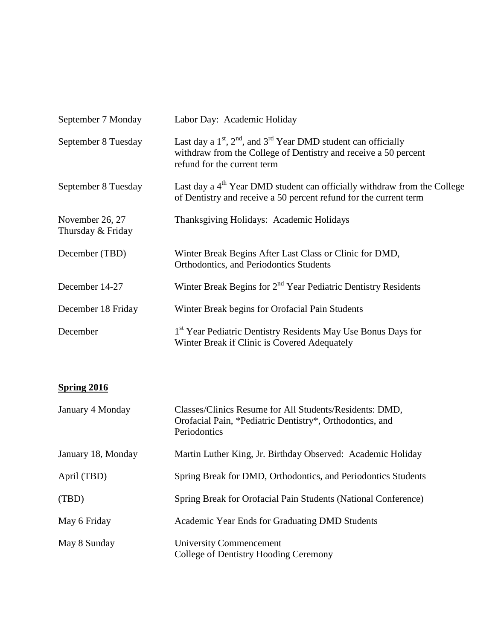| September 7 Monday                   | Labor Day: Academic Holiday                                                                                                                                            |
|--------------------------------------|------------------------------------------------------------------------------------------------------------------------------------------------------------------------|
| September 8 Tuesday                  | Last day a $1st$ , $2nd$ , and $3rd$ Year DMD student can officially<br>withdraw from the College of Dentistry and receive a 50 percent<br>refund for the current term |
| September 8 Tuesday                  | Last day a 4 <sup>th</sup> Year DMD student can officially withdraw from the College<br>of Dentistry and receive a 50 percent refund for the current term              |
| November 26, 27<br>Thursday & Friday | Thanksgiving Holidays: Academic Holidays                                                                                                                               |
| December (TBD)                       | Winter Break Begins After Last Class or Clinic for DMD,<br>Orthodontics, and Periodontics Students                                                                     |
| December 14-27                       | Winter Break Begins for 2 <sup>nd</sup> Year Pediatric Dentistry Residents                                                                                             |
| December 18 Friday                   | Winter Break begins for Orofacial Pain Students                                                                                                                        |
| December                             | 1 <sup>st</sup> Year Pediatric Dentistry Residents May Use Bonus Days for<br>Winter Break if Clinic is Covered Adequately                                              |

## **Spring 2016**

| January 4 Monday   | Classes/Clinics Resume for All Students/Residents: DMD,<br>Orofacial Pain, *Pediatric Dentistry*, Orthodontics, and<br>Periodontics |
|--------------------|-------------------------------------------------------------------------------------------------------------------------------------|
| January 18, Monday | Martin Luther King, Jr. Birthday Observed: Academic Holiday                                                                         |
| April (TBD)        | Spring Break for DMD, Orthodontics, and Periodontics Students                                                                       |
| (TBD)              | Spring Break for Orofacial Pain Students (National Conference)                                                                      |
| May 6 Friday       | Academic Year Ends for Graduating DMD Students                                                                                      |
| May 8 Sunday       | <b>University Commencement</b><br>College of Dentistry Hooding Ceremony                                                             |